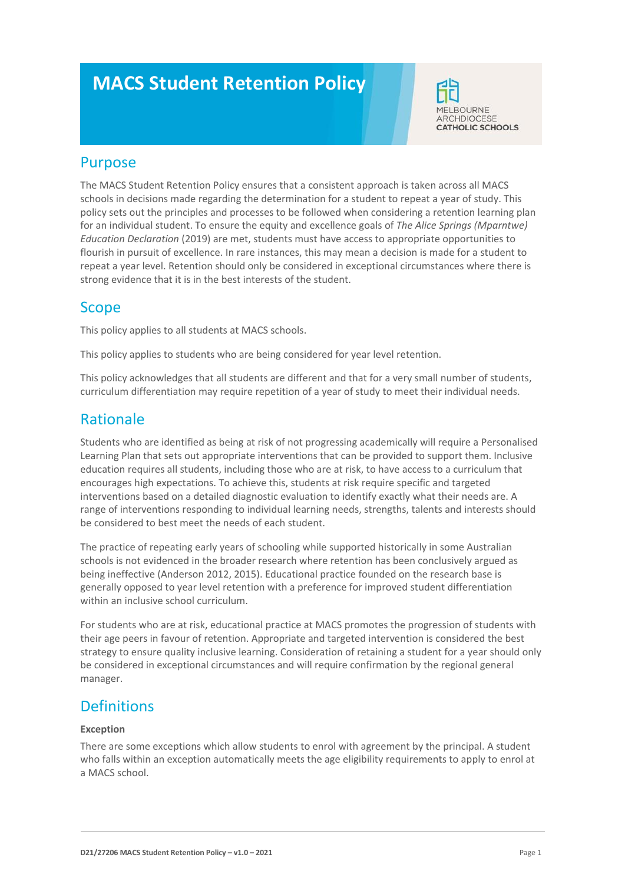# **MACS Student Retention Policy**



### Purpose

The MACS Student Retention Policy ensures that a consistent approach is taken across all MACS schools in decisions made regarding the determination for a student to repeat a year of study. This policy sets out the principles and processes to be followed when considering a retention learning plan for an individual student. To ensure the equity and excellence goals of *The Alice Springs (Mparntwe) Education Declaration* (2019) are met, students must have access to appropriate opportunities to flourish in pursuit of excellence. In rare instances, this may mean a decision is made for a student to repeat a year level. Retention should only be considered in exceptional circumstances where there is strong evidence that it is in the best interests of the student.

## Scope

This policy applies to all students at MACS schools.

This policy applies to students who are being considered for year level retention.

This policy acknowledges that all students are different and that for a very small number of students, curriculum differentiation may require repetition of a year of study to meet their individual needs.

# Rationale

Students who are identified as being at risk of not progressing academically will require a Personalised Learning Plan that sets out appropriate interventions that can be provided to support them. Inclusive education requires all students, including those who are at risk, to have access to a curriculum that encourages high expectations. To achieve this, students at risk require specific and targeted interventions based on a detailed diagnostic evaluation to identify exactly what their needs are. A range of interventions responding to individual learning needs, strengths, talents and interests should be considered to best meet the needs of each student.

The practice of repeating early years of schooling while supported historically in some Australian schools is not evidenced in the broader research where retention has been conclusively argued as being ineffective (Anderson 2012, 2015). Educational practice founded on the research base is generally opposed to year level retention with a preference for improved student differentiation within an inclusive school curriculum.

For students who are at risk, educational practice at MACS promotes the progression of students with their age peers in favour of retention. Appropriate and targeted intervention is considered the best strategy to ensure quality inclusive learning. Consideration of retaining a student for a year should only be considered in exceptional circumstances and will require confirmation by the regional general manager.

## **Definitions**

#### **Exception**

There are some exceptions which allow students to enrol with agreement by the principal. A student who falls within an exception automatically meets the age eligibility requirements to apply to enrol at a MACS school.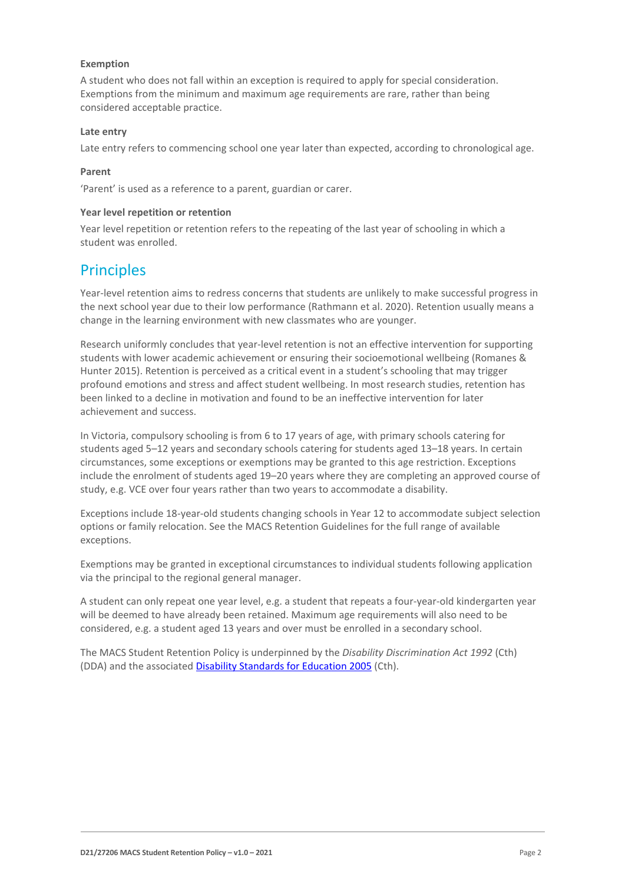#### **Exemption**

A student who does not fall within an exception is required to apply for special consideration. Exemptions from the minimum and maximum age requirements are rare, rather than being considered acceptable practice.

#### **Late entry**

Late entry refers to commencing school one year later than expected, according to chronological age.

#### **Parent**

'Parent' is used as a reference to a parent, guardian or carer.

#### **Year level repetition or retention**

Year level repetition or retention refers to the repeating of the last year of schooling in which a student was enrolled.

# **Principles**

Year-level retention aims to redress concerns that students are unlikely to make successful progress in the next school year due to their low performance (Rathmann et al. 2020). Retention usually means a change in the learning environment with new classmates who are younger.

Research uniformly concludes that year-level retention is not an effective intervention for supporting students with lower academic achievement or ensuring their socioemotional wellbeing (Romanes & Hunter 2015). Retention is perceived as a critical event in a student's schooling that may trigger profound emotions and stress and affect student wellbeing. In most research studies, retention has been linked to a decline in motivation and found to be an ineffective intervention for later achievement and success.

In Victoria, compulsory schooling is from 6 to 17 years of age, with primary schools catering for students aged 5–12 years and secondary schools catering for students aged 13–18 years. In certain circumstances, some exceptions or exemptions may be granted to this age restriction. Exceptions include the enrolment of students aged 19–20 years where they are completing an approved course of study, e.g. VCE over four years rather than two years to accommodate a disability.

Exceptions include 18-year-old students changing schools in Year 12 to accommodate subject selection options or family relocation. See the MACS Retention Guidelines for the full range of available exceptions.

Exemptions may be granted in exceptional circumstances to individual students following application via the principal to the regional general manager.

A student can only repeat one year level, e.g. a student that repeats a four-year-old kindergarten year will be deemed to have already been retained. Maximum age requirements will also need to be considered, e.g. a student aged 13 years and over must be enrolled in a secondary school.

The MACS Student Retention Policy is underpinned by the *Disability Discrimination Act 1992* (Cth) (DDA) and the associate[d Disability Standards for Education 2005](https://www.education.gov.au/disability-standards-education-2005) (Cth).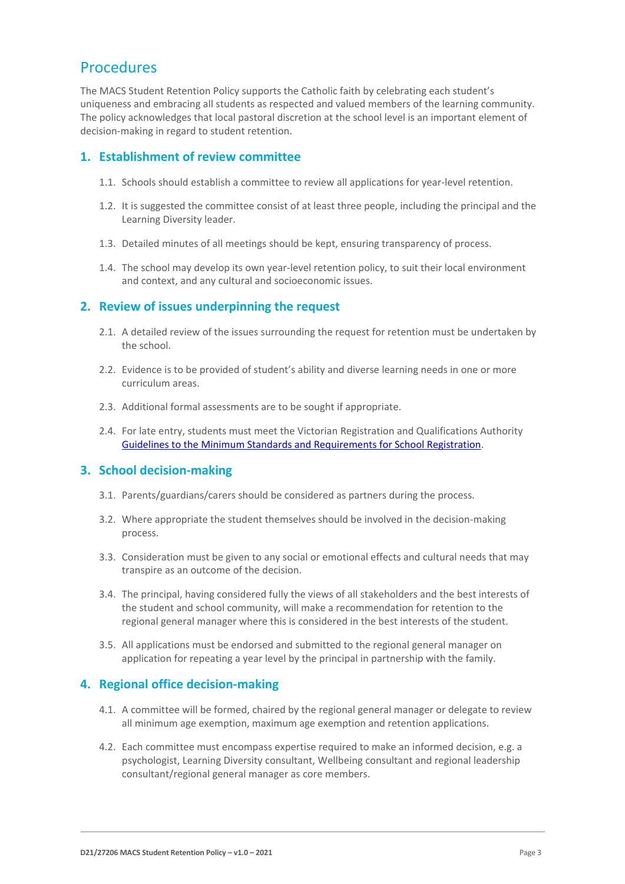# Procedures

The MACS Student Retention Policy supports the Catholic faith by celebrating each student's uniqueness and embracing all students as respected and valued members of the learning community. The policy acknowledges that local pastoral discretion at the school level is an important element of decision-making in regard to student retention.

#### **1. Establishment of review committee**

- 1.1. Schools should establish a committee to review all applications for year-level retention.
- 1.2. It is suggested the committee consist of at least three people, including the principal and the Learning Diversity leader.
- 1.3. Detailed minutes of all meetings should be kept, ensuring transparency of process.
- 1.4. The school may develop its own year-level retention policy, to suit their local environment and context, and any cultural and socioeconomic issues.

#### **2. Review of issues underpinning the request**

- 2.1. A detailed review of the issues surrounding the request for retention must be undertaken by the school.
- 2.2. Evidence is to be provided of student's ability and diverse learning needs in one or more curriculum areas.
- 2.3. Additional formal assessments are to be sought if appropriate.
- 2.4. For late entry, students must meet the Victorian Registration and Qualifications Authority Guidelines to [the Minimum Standards and Requirements for School Registration.](https://www.vrqa.vic.gov.au/Documents/schoolstandards.docx)

#### **3. School decision-making**

- 3.1. Parents/guardians/carers should be considered as partners during the process.
- 3.2. Where appropriate the student themselves should be involved in the decision-making process.
- 3.3. Consideration must be given to any social or emotional effects and cultural needs that may transpire as an outcome of the decision.
- 3.4. The principal, having considered fully the views of all stakeholders and the best interests of the student and school community, will make a recommendation for retention to the regional general manager where this is considered in the best interests of the student.
- 3.5. All applications must be endorsed and submitted to the regional general manager on application for repeating a year level by the principal in partnership with the family.

### **4. Regional office decision-making**

- 4.1. A committee will be formed, chaired by the regional general manager or delegate to review all minimum age exemption, maximum age exemption and retention applications.
- 4.2. Each committee must encompass expertise required to make an informed decision, e.g. a psychologist, Learning Diversity consultant, Wellbeing consultant and regional leadership consultant/regional general manager as core members.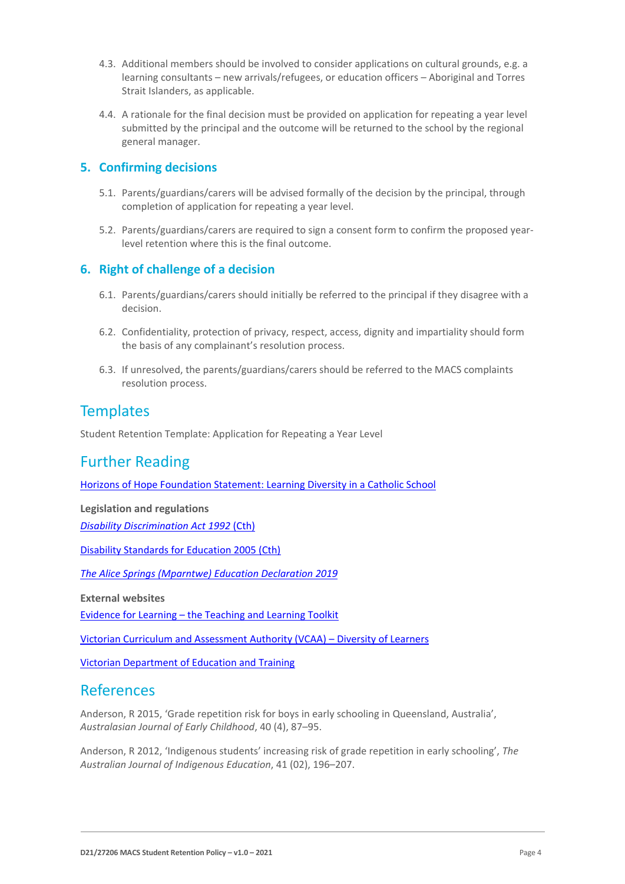- 4.3. Additional members should be involved to consider applications on cultural grounds, e.g. a learning consultants – new arrivals/refugees, or education officers – Aboriginal and Torres Strait Islanders, as applicable.
- 4.4. A rationale for the final decision must be provided on application for repeating a year level submitted by the principal and the outcome will be returned to the school by the regional general manager.

#### **5. Confirming decisions**

- 5.1. Parents/guardians/carers will be advised formally of the decision by the principal, through completion of application for repeating a year level.
- 5.2. Parents/guardians/carers are required to sign a consent form to confirm the proposed yearlevel retention where this is the final outcome.

### **6. Right of challenge of a decision**

- 6.1. Parents/guardians/carers should initially be referred to the principal if they disagree with a decision.
- 6.2. Confidentiality, protection of privacy, respect, access, dignity and impartiality should form the basis of any complainant's resolution process.
- 6.3. If unresolved, the parents/guardians/carers should be referred to the MACS complaints resolution process.

# **Templates**

Student Retention Template: Application for Repeating a Year Level

# Further Reading

[Horizons of Hope Foundation Statement: Learning Diversity in a Catholic School](https://www.macs.vic.edu.au/CatholicEducationMelbourne/media/Documentation/HoH%20Documents/HoH-Learning-Diversity.pdf)

**Legislation and regulations**

*[Disability Discrimination Act 1992](https://www.legislation.gov.au/Details/C2016C00763)* (Cth)

[Disability Standards for Education 2005 \(Cth\)](https://www.legislation.gov.au/Details/F2005L00767)

*[The Alice Springs \(Mparntwe\) Education Declaration 2019](https://www.dese.gov.au/indigenous-education/resources/alice-springs-mparntwe-education-declaration)*

**External websites**

Evidence for Learning – [the Teaching and Learning Toolkit](https://evidenceforlearning.org.au/the-toolkits/the-teaching-and-learning-toolkit/)

[Victorian Curriculum and Assessment Authority \(VCAA\)](https://victoriancurriculum.vcaa.vic.edu.au/overview/diversity-of-learners) – Diversity of Learners

[Victorian Department of Education and Training](https://www.education.vic.gov.au/Pages/default.aspx)

# References

Anderson, R 2015, 'Grade repetition risk for boys in early schooling in Queensland, Australia', *Australasian Journal of Early Childhood*, 40 (4), 87–95.

Anderson, R 2012, 'Indigenous students' increasing risk of grade repetition in early schooling', *The Australian Journal of Indigenous Education*, 41 (02), 196–207.